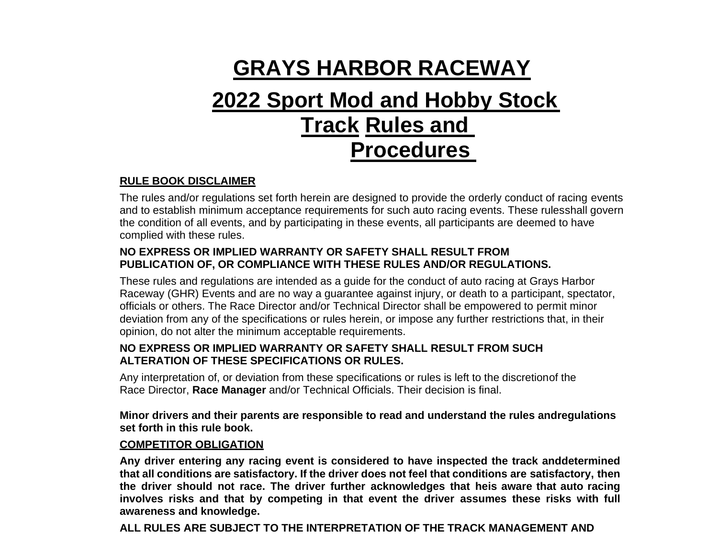# **GRAYS HARBOR RACEWAY**

# **2022 Sport Mod and Hobby Stock Track Rules and Procedures**

#### **RULE BOOK DISCLAIMER**

The rules and/or regulations set forth herein are designed to provide the orderly conduct of racing events and to establish minimum acceptance requirements for such auto racing events. These rulesshall govern the condition of all events, and by participating in these events, all participants are deemed to have complied with these rules.

#### **NO EXPRESS OR IMPLIED WARRANTY OR SAFETY SHALL RESULT FROM PUBLICATION OF, OR COMPLIANCE WITH THESE RULES AND/OR REGULATIONS.**

These rules and regulations are intended as a guide for the conduct of auto racing at Grays Harbor Raceway (GHR) Events and are no way a guarantee against injury, or death to a participant, spectator, officials or others. The Race Director and/or Technical Director shall be empowered to permit minor deviation from any of the specifications or rules herein, or impose any further restrictions that, in their opinion, do not alter the minimum acceptable requirements.

#### **NO EXPRESS OR IMPLIED WARRANTY OR SAFETY SHALL RESULT FROM SUCH ALTERATION OF THESE SPECIFICATIONS OR RULES.**

Any interpretation of, or deviation from these specifications or rules is left to the discretionof the Race Director, **Race Manager** and/or Technical Officials. Their decision is final.

**Minor drivers and their parents are responsible to read and understand the rules andregulations set forth in this rule book.**

#### **COMPETITOR OBLIGATION**

**Any driver entering any racing event is considered to have inspected the track anddetermined that all conditions are satisfactory. If the driver does not feel that conditions are satisfactory, then the driver should not race. The driver further acknowledges that heis aware that auto racing involves risks and that by competing in that event the driver assumes these risks with full awareness and knowledge.**

**ALL RULES ARE SUBJECT TO THE INTERPRETATION OF THE TRACK MANAGEMENT AND**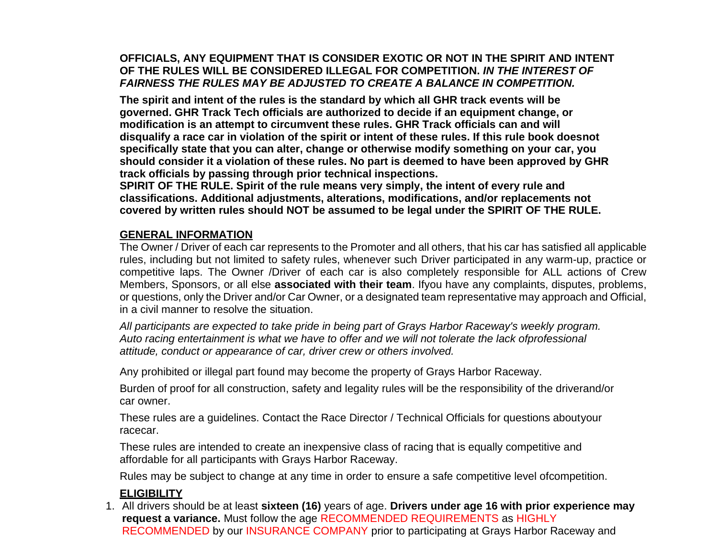#### **OFFICIALS, ANY EQUIPMENT THAT IS CONSIDER EXOTIC OR NOT IN THE SPIRIT AND INTENT OF THE RULES WILL BE CONSIDERED ILLEGAL FOR COMPETITION.** *IN THE INTEREST OF FAIRNESS THE RULES MAY BE ADJUSTED TO CREATE A BALANCE IN COMPETITION.*

**The spirit and intent of the rules is the standard by which all GHR track events will be governed. GHR Track Tech officials are authorized to decide if an equipment change, or modification is an attempt to circumvent these rules. GHR Track officials can and will disqualify a race car in violation of the spirit or intent of these rules. If this rule book doesnot specifically state that you can alter, change or otherwise modify something on your car, you should consider it a violation of these rules. No part is deemed to have been approved by GHR track officials by passing through prior technical inspections.**

**SPIRIT OF THE RULE. Spirit of the rule means very simply, the intent of every rule and classifications. Additional adjustments, alterations, modifications, and/or replacements not covered by written rules should NOT be assumed to be legal under the SPIRIT OF THE RULE.**

#### **GENERAL INFORMATION**

The Owner / Driver of each car represents to the Promoter and all others, that his car has satisfied all applicable rules, including but not limited to safety rules, whenever such Driver participated in any warm-up, practice or competitive laps. The Owner /Driver of each car is also completely responsible for ALL actions of Crew Members, Sponsors, or all else **associated with their team**. Ifyou have any complaints, disputes, problems, or questions, only the Driver and/or Car Owner, or a designated team representative may approach and Official, in a civil manner to resolve the situation.

*All participants are expected to take pride in being part of Grays Harbor Raceway's weekly program. Auto racing entertainment is what we have to offer and we will not tolerate the lack ofprofessional attitude, conduct or appearance of car, driver crew or others involved.*

Any prohibited or illegal part found may become the property of Grays Harbor Raceway.

Burden of proof for all construction, safety and legality rules will be the responsibility of the driverand/or car owner.

These rules are a guidelines. Contact the Race Director / Technical Officials for questions aboutyour racecar.

These rules are intended to create an inexpensive class of racing that is equally competitive and affordable for all participants with Grays Harbor Raceway.

Rules may be subject to change at any time in order to ensure a safe competitive level ofcompetition.

#### **ELIGIBILITY**

1. All drivers should be at least **sixteen (16)** years of age. **Drivers under age 16 with prior experience may request a variance.** Must follow the age RECOMMENDED REQUIREMENTS as HIGHLY RECOMMENDED by our INSURANCE COMPANY prior to participating at Grays Harbor Raceway and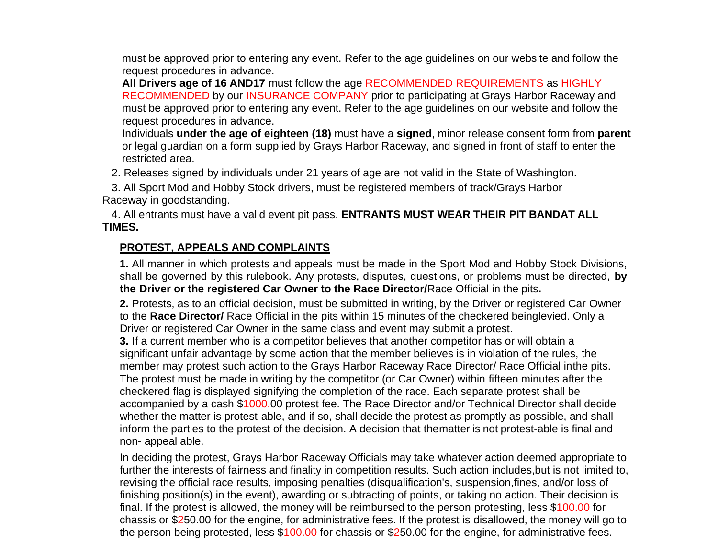must be approved prior to entering any event. Refer to the age guidelines on our website and follow the request procedures in advance.

**All Drivers age of 16 AND17** must follow the age RECOMMENDED REQUIREMENTS as HIGHLY RECOMMENDED by our INSURANCE COMPANY prior to participating at Grays Harbor Raceway and must be approved prior to entering any event. Refer to the age guidelines on our website and follow the request procedures in advance.

Individuals **under the age of eighteen (18)** must have a **signed**, minor release consent form from **parent**  or legal guardian on a form supplied by Grays Harbor Raceway, and signed in front of staff to enter the restricted area.

2. Releases signed by individuals under 21 years of age are not valid in the State of Washington.

 3. All Sport Mod and Hobby Stock drivers, must be registered members of track/Grays Harbor Raceway in goodstanding.

 4. All entrants must have a valid event pit pass. **ENTRANTS MUST WEAR THEIR PIT BANDAT ALL TIMES.**

#### **PROTEST, APPEALS AND COMPLAINTS**

**1.** All manner in which protests and appeals must be made in the Sport Mod and Hobby Stock Divisions, shall be governed by this rulebook. Any protests, disputes, questions, or problems must be directed, **by the Driver or the registered Car Owner to the Race Director/**Race Official in the pits**.**

**2.** Protests, as to an official decision, must be submitted in writing, by the Driver or registered Car Owner to the **Race Director/** Race Official in the pits within 15 minutes of the checkered beinglevied. Only a Driver or registered Car Owner in the same class and event may submit a protest.

**3.** If a current member who is a competitor believes that another competitor has or will obtain a significant unfair advantage by some action that the member believes is in violation of the rules, the member may protest such action to the Grays Harbor Raceway Race Director/ Race Official inthe pits. The protest must be made in writing by the competitor (or Car Owner) within fifteen minutes after the checkered flag is displayed signifying the completion of the race. Each separate protest shall be accompanied by a cash \$1000.00 protest fee. The Race Director and/or Technical Director shall decide whether the matter is protest-able, and if so, shall decide the protest as promptly as possible, and shall inform the parties to the protest of the decision. A decision that thematter is not protest-able is final and non- appeal able.

In deciding the protest, Grays Harbor Raceway Officials may take whatever action deemed appropriate to further the interests of fairness and finality in competition results. Such action includes, but is not limited to, revising the official race results, imposing penalties (disqualification's, suspension,fines, and/or loss of finishing position(s) in the event), awarding or subtracting of points, or taking no action. Their decision is final. If the protest is allowed, the money will be reimbursed to the person protesting, less \$100.00 for chassis or \$250.00 for the engine, for administrative fees. If the protest is disallowed, the money will go to the person being protested, less \$100.00 for chassis or \$250.00 for the engine, for administrative fees.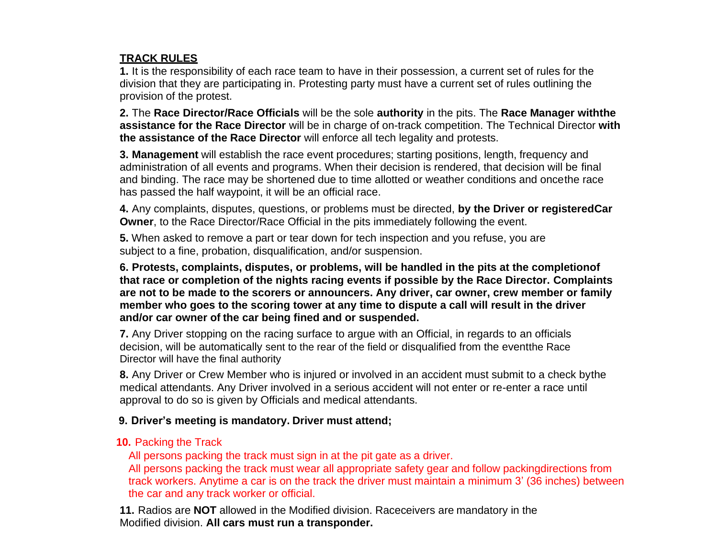## **TRACK RULES**

**1.** It is the responsibility of each race team to have in their possession, a current set of rules for the division that they are participating in. Protesting party must have a current set of rules outlining the provision of the protest.

**2.** The **Race Director/Race Officials** will be the sole **authority** in the pits. The **Race Manager withthe assistance for the Race Director** will be in charge of on-track competition. The Technical Director **with the assistance of the Race Director** will enforce all tech legality and protests.

**3. Management** will establish the race event procedures; starting positions, length, frequency and administration of all events and programs. When their decision is rendered, that decision will be final and binding. The race may be shortened due to time allotted or weather conditions and oncethe race has passed the half waypoint, it will be an official race.

**4.** Any complaints, disputes, questions, or problems must be directed, **by the Driver or registeredCar Owner**, to the Race Director/Race Official in the pits immediately following the event.

**5.** When asked to remove a part or tear down for tech inspection and you refuse, you are subject to a fine, probation, disqualification, and/or suspension.

**6. Protests, complaints, disputes, or problems, will be handled in the pits at the completionof that race or completion of the nights racing events if possible by the Race Director. Complaints are not to be made to the scorers or announcers. Any driver, car owner, crew member or family member who goes to the scoring tower at any time to dispute a call will result in the driver and/or car owner of the car being fined and or suspended.**

**7.** Any Driver stopping on the racing surface to argue with an Official, in regards to an officials decision, will be automatically sent to the rear of the field or disqualified from the eventthe Race Director will have the final authority

**8.** Any Driver or Crew Member who is injured or involved in an accident must submit to a check bythe medical attendants. Any Driver involved in a serious accident will not enter or re-enter a race until approval to do so is given by Officials and medical attendants.

#### **9. Driver's meeting is mandatory. Driver must attend;**

#### **10.** Packing the Track

All persons packing the track must sign in at the pit gate as a driver.

All persons packing the track must wear all appropriate safety gear and follow packingdirections from track workers. Anytime a car is on the track the driver must maintain a minimum 3' (36 inches) between the car and any track worker or official.

**11.** Radios are **NOT** allowed in the Modified division. Raceceivers are mandatory in the Modified division. **All cars must run a transponder.**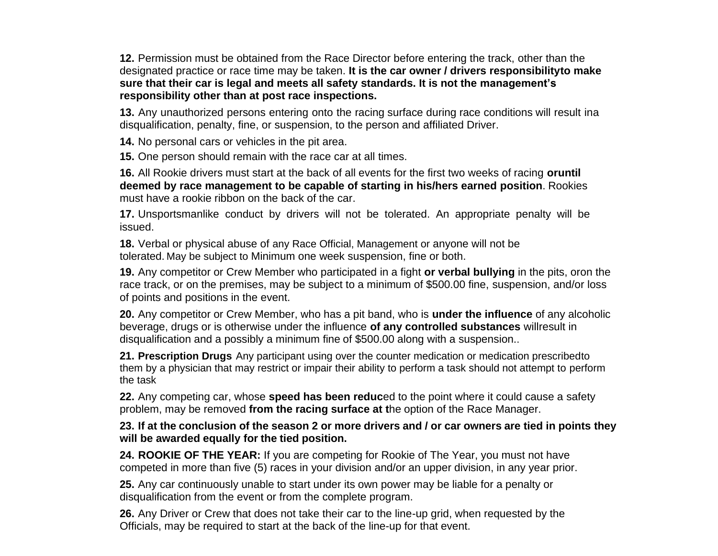**12.** Permission must be obtained from the Race Director before entering the track, other than the designated practice or race time may be taken. **It is the car owner / drivers responsibilityto make sure that their car is legal and meets all safety standards. It is not the management's responsibility other than at post race inspections.**

**13.** Any unauthorized persons entering onto the racing surface during race conditions will result ina disqualification, penalty, fine, or suspension, to the person and affiliated Driver.

**14.** No personal cars or vehicles in the pit area.

**15.** One person should remain with the race car at all times.

**16.** All Rookie drivers must start at the back of all events for the first two weeks of racing **oruntil deemed by race management to be capable of starting in his/hers earned position**. Rookies must have a rookie ribbon on the back of the car.

**17.** Unsportsmanlike conduct by drivers will not be tolerated. An appropriate penalty will be issued.

**18.** Verbal or physical abuse of any Race Official, Management or anyone will not be tolerated. May be subject to Minimum one week suspension, fine or both.

**19.** Any competitor or Crew Member who participated in a fight **or verbal bullying** in the pits, oron the race track, or on the premises, may be subject to a minimum of \$500.00 fine, suspension, and/or loss of points and positions in the event.

**20.** Any competitor or Crew Member, who has a pit band, who is **under the influence** of any alcoholic beverage, drugs or is otherwise under the influence **of any controlled substances** willresult in disqualification and a possibly a minimum fine of \$500.00 along with a suspension..

**21. Prescription Drugs** Any participant using over the counter medication or medication prescribedto them by a physician that may restrict or impair their ability to perform a task should not attempt to perform the task

**22.** Any competing car, whose **speed has been reduc**ed to the point where it could cause a safety problem, may be removed **from the racing surface at t**he option of the Race Manager.

23. If at the conclusion of the season 2 or more drivers and / or car owners are tied in points they **will be awarded equally for the tied position.**

**24. ROOKIE OF THE YEAR:** If you are competing for Rookie of The Year, you must not have competed in more than five (5) races in your division and/or an upper division, in any year prior.

**25.** Any car continuously unable to start under its own power may be liable for a penalty or disqualification from the event or from the complete program.

**26.** Any Driver or Crew that does not take their car to the line-up grid, when requested by the Officials, may be required to start at the back of the line-up for that event.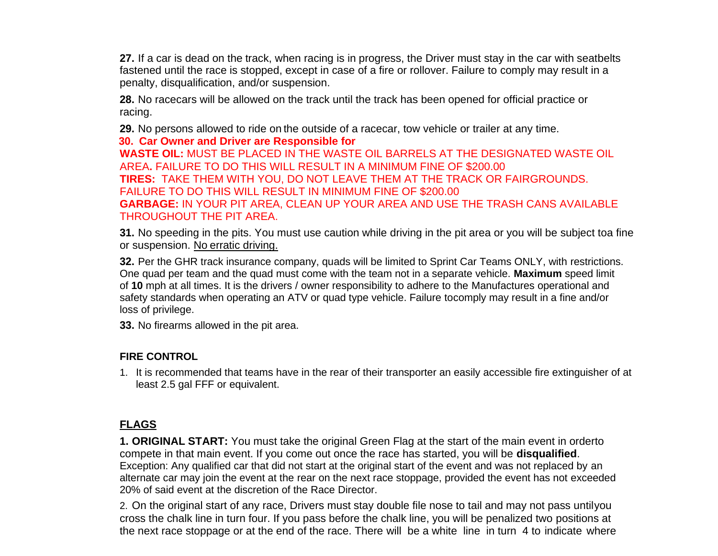**27.** If a car is dead on the track, when racing is in progress, the Driver must stay in the car with seatbelts fastened until the race is stopped, except in case of a fire or rollover. Failure to comply may result in a penalty, disqualification, and/or suspension.

**28.** No racecars will be allowed on the track until the track has been opened for official practice or racing.

**29.** No persons allowed to ride on the outside of a racecar, tow vehicle or trailer at any time. **30. Car Owner and Driver are Responsible for WASTE OIL:** MUST BE PLACED IN THE WASTE OIL BARRELS AT THE DESIGNATED WASTE OIL AREA**.** FAILURE TO DO THIS WILL RESULT IN A MINIMUM FINE OF \$200.00 **TIRES:** TAKE THEM WITH YOU, DO NOT LEAVE THEM AT THE TRACK OR FAIRGROUNDS. FAILURE TO DO THIS WILL RESULT IN MINIMUM FINE OF \$200.00 **GARBAGE:** IN YOUR PIT AREA, CLEAN UP YOUR AREA AND USE THE TRASH CANS AVAILABLE THROUGHOUT THE PIT AREA.

**31.** No speeding in the pits. You must use caution while driving in the pit area or you will be subject toa fine or suspension. No erratic driving.

**32.** Per the GHR track insurance company, quads will be limited to Sprint Car Teams ONLY, with restrictions. One quad per team and the quad must come with the team not in a separate vehicle. **Maximum** speed limit of **10** mph at all times. It is the drivers / owner responsibility to adhere to the Manufactures operational and safety standards when operating an ATV or quad type vehicle. Failure tocomply may result in a fine and/or loss of privilege.

**33.** No firearms allowed in the pit area.

#### **FIRE CONTROL**

1. It is recommended that teams have in the rear of their transporter an easily accessible fire extinguisher of at least 2.5 gal FFF or equivalent.

## **FLAGS**

**1. ORIGINAL START:** You must take the original Green Flag at the start of the main event in orderto compete in that main event. If you come out once the race has started, you will be **disqualified**. Exception: Any qualified car that did not start at the original start of the event and was not replaced by an alternate car may join the event at the rear on the next race stoppage, provided the event has not exceeded 20% of said event at the discretion of the Race Director.

2. On the original start of any race, Drivers must stay double file nose to tail and may not pass untilyou cross the chalk line in turn four. If you pass before the chalk line, you will be penalized two positions at the next race stoppage or at the end of the race. There will be a white line in turn 4 to indicate where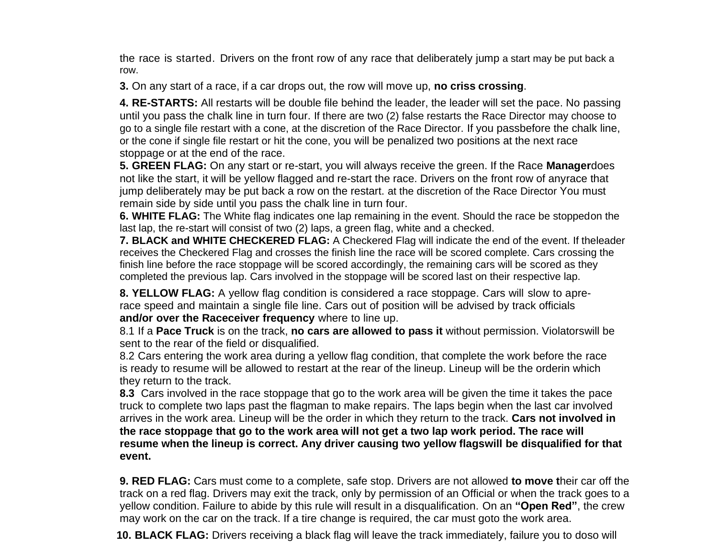the race is started. Drivers on the front row of any race that deliberately jump a start may be put back a row.

**3.** On any start of a race, if a car drops out, the row will move up, **no criss crossing**.

**4. RE-STARTS:** All restarts will be double file behind the leader, the leader will set the pace. No passing until you pass the chalk line in turn four. If there are two (2) false restarts the Race Director may choose to go to a single file restart with a cone, at the discretion of the Race Director. If you passbefore the chalk line, or the cone if single file restart or hit the cone, you will be penalized two positions at the next race stoppage or at the end of the race.

**5. GREEN FLAG:** On any start or re-start, you will always receive the green. If the Race **Manager**does not like the start, it will be yellow flagged and re-start the race. Drivers on the front row of anyrace that jump deliberately may be put back a row on the restart. at the discretion of the Race Director You must remain side by side until you pass the chalk line in turn four.

**6. WHITE FLAG:** The White flag indicates one lap remaining in the event. Should the race be stoppedon the last lap, the re-start will consist of two (2) laps, a green flag, white and a checked.

**7. BLACK and WHITE CHECKERED FLAG:** A Checkered Flag will indicate the end of the event. If theleader receives the Checkered Flag and crosses the finish line the race will be scored complete. Cars crossing the finish line before the race stoppage will be scored accordingly, the remaining cars will be scored as they completed the previous lap. Cars involved in the stoppage will be scored last on their respective lap.

**8. YELLOW FLAG:** A yellow flag condition is considered a race stoppage. Cars will slow to aprerace speed and maintain a single file line. Cars out of position will be advised by track officials **and/or over the Raceceiver frequency** where to line up.

8.1 If a **Pace Truck** is on the track, **no cars are allowed to pass it** without permission. Violatorswill be sent to the rear of the field or disqualified.

8.2 Cars entering the work area during a yellow flag condition, that complete the work before the race is ready to resume will be allowed to restart at the rear of the lineup. Lineup will be the orderin which they return to the track.

**8.3** Cars involved in the race stoppage that go to the work area will be given the time it takes the pace truck to complete two laps past the flagman to make repairs. The laps begin when the last car involved arrives in the work area. Lineup will be the order in which they return to the track. **Cars not involved in the race stoppage that go to the work area will not get a two lap work period. The race will resume when the lineup is correct. Any driver causing two yellow flagswill be disqualified for that event.**

**9. RED FLAG:** Cars must come to a complete, safe stop. Drivers are not allowed **to move t**heir car off the track on a red flag. Drivers may exit the track, only by permission of an Official or when the track goes to a yellow condition. Failure to abide by this rule will result in a disqualification. On an **"Open Red"**, the crew may work on the car on the track. If a tire change is required, the car must goto the work area.

**10. BLACK FLAG:** Drivers receiving a black flag will leave the track immediately, failure you to doso will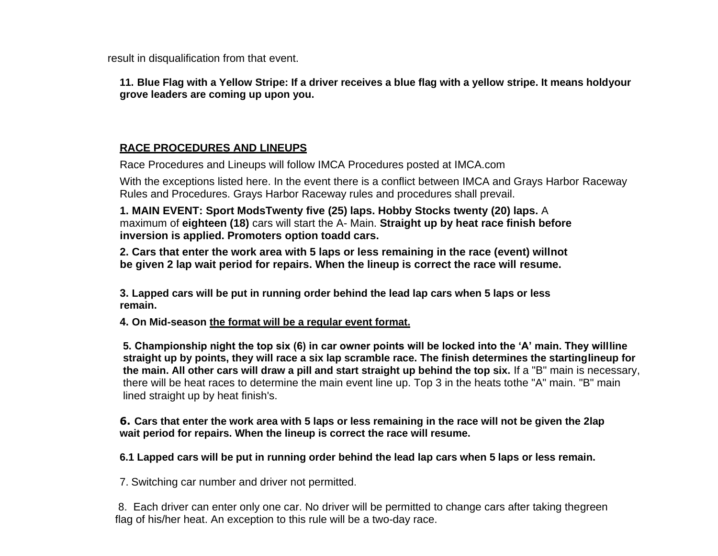result in disqualification from that event.

11. Blue Flag with a Yellow Stripe: If a driver receives a blue flag with a yellow stripe. It means holdyour **grove leaders are coming up upon you.**

#### **RACE PROCEDURES AND LINEUPS**

Race Procedures and Lineups will follow IMCA Procedures posted at IMCA.com

With the exceptions listed here. In the event there is a conflict between IMCA and Grays Harbor Raceway Rules and Procedures. Grays Harbor Raceway rules and procedures shall prevail.

**1. MAIN EVENT: Sport ModsTwenty five (25) laps. Hobby Stocks twenty (20) laps.** A maximum of **eighteen (18)** cars will start the A- Main. **Straight up by heat race finish before inversion is applied. Promoters option toadd cars.**

**2. Cars that enter the work area with 5 laps or less remaining in the race (event) willnot be given 2 lap wait period for repairs. When the lineup is correct the race will resume.**

**3. Lapped cars will be put in running order behind the lead lap cars when 5 laps or less remain.**

**4. On Mid-season the format will be a regular event format.**

**5. Championship night the top six (6) in car owner points will be locked into the 'A' main. They willline straight up by points, they will race a six lap scramble race. The finish determines the startinglineup for the main. All other cars will draw a pill and start straight up behind the top six.** If a "B" main is necessary, there will be heat races to determine the main event line up. Top 3 in the heats tothe "A" main. "B" main lined straight up by heat finish's.

#### **6. Cars that enter the work area with 5 laps or less remaining in the race will not be given the 2lap wait period for repairs. When the lineup is correct the race will resume.**

**6.1 Lapped cars will be put in running order behind the lead lap cars when 5 laps or less remain.**

7. Switching car number and driver not permitted.

8. Each driver can enter only one car. No driver will be permitted to change cars after taking thegreen flag of his/her heat. An exception to this rule will be a two-day race.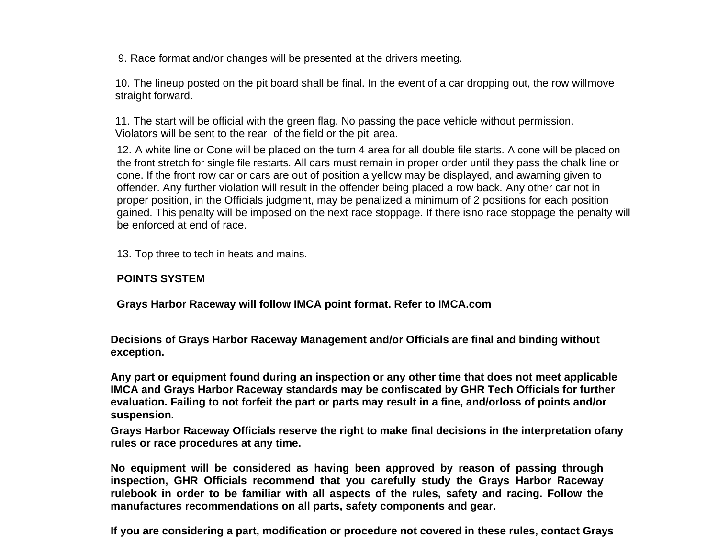9. Race format and/or changes will be presented at the drivers meeting.

10. The lineup posted on the pit board shall be final. In the event of a car dropping out, the row willmove straight forward.

11. The start will be official with the green flag. No passing the pace vehicle without permission. Violators will be sent to the rear of the field or the pit area.

12. A white line or Cone will be placed on the turn 4 area for all double file starts. A cone will be placed on the front stretch for single file restarts. All cars must remain in proper order until they pass the chalk line or cone. If the front row car or cars are out of position a yellow may be displayed, and awarning given to offender. Any further violation will result in the offender being placed a row back. Any other car not in proper position, in the Officials judgment, may be penalized a minimum of 2 positions for each position gained. This penalty will be imposed on the next race stoppage. If there isno race stoppage the penalty will be enforced at end of race.

13. Top three to tech in heats and mains.

#### **POINTS SYSTEM**

**Grays Harbor Raceway will follow IMCA point format. Refer to IMCA.com**

**Decisions of Grays Harbor Raceway Management and/or Officials are final and binding without exception.**

**Any part or equipment found during an inspection or any other time that does not meet applicable IMCA and Grays Harbor Raceway standards may be confiscated by GHR Tech Officials for further evaluation. Failing to not forfeit the part or parts may result in a fine, and/orloss of points and/or suspension.**

**Grays Harbor Raceway Officials reserve the right to make final decisions in the interpretation ofany rules or race procedures at any time.**

**No equipment will be considered as having been approved by reason of passing through inspection, GHR Officials recommend that you carefully study the Grays Harbor Raceway rulebook in order to be familiar with all aspects of the rules, safety and racing. Follow the manufactures recommendations on all parts, safety components and gear.**

**If you are considering a part, modification or procedure not covered in these rules, contact Grays**